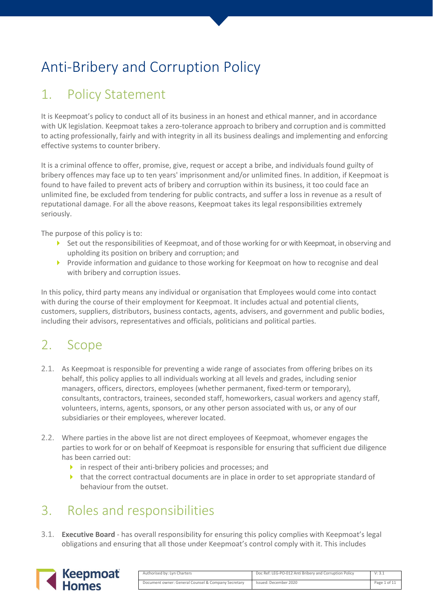# Anti-Bribery and Corruption Policy

## 1. Policy Statement

It is Keepmoat's policy to conduct all of its business in an honest and ethical manner, and in accordance with UK legislation. Keepmoat takes a zero-tolerance approach to bribery and corruption and is committed to acting professionally, fairly and with integrity in all its business dealings and implementing and enforcing effective systems to counter bribery.

It is a criminal offence to offer, promise, give, request or accept a bribe, and individuals found guilty of bribery offences may face up to ten years' imprisonment and/or unlimited fines. In addition, if Keepmoat is found to have failed to prevent acts of bribery and corruption within its business, it too could face an unlimited fine, be excluded from tendering for public contracts, and suffer a loss in revenue as a result of reputational damage. For all the above reasons, Keepmoat takes its legal responsibilities extremely seriously.

The purpose of this policy is to:

- Set out the responsibilities of Keepmoat, and of those working for or with Keepmoat, in observing and upholding its position on bribery and corruption; and
- Provide information and guidance to those working for Keepmoat on how to recognise and deal with bribery and corruption issues.

In this policy, third party means any individual or organisation that Employees would come into contact with during the course of their employment for Keepmoat. It includes actual and potential clients, customers, suppliers, distributors, business contacts, agents, advisers, and government and public bodies, including their advisors, representatives and officials, politicians and political parties.

## 2. Scope

- 2.1. As Keepmoat is responsible for preventing a wide range of associates from offering bribes on its behalf, this policy applies to all individuals working at all levels and grades, including senior managers, officers, directors, employees (whether permanent, fixed-term or temporary), consultants, contractors, trainees, seconded staff, homeworkers, casual workers and agency staff, volunteers, interns, agents, sponsors, or any other person associated with us, or any of our subsidiaries or their employees, wherever located.
- 2.2. Where parties in the above list are not direct employees of Keepmoat, whomever engages the parties to work for or on behalf of Keepmoat is responsible for ensuring that sufficient due diligence has been carried out:
	- $\triangleright$  in respect of their anti-bribery policies and processes; and
	- $\blacktriangleright$  that the correct contractual documents are in place in order to set appropriate standard of behaviour from the outset.

## 3. Roles and responsibilities

3.1. **Executive Board** - has overall responsibility for ensuring this policy complies with Keepmoat's legal obligations and ensuring that all those under Keepmoat's control comply with it. This includes



| Authorised by: Lyn Charters                         | Doc Ref: LEG-PO-012 Anti Bribery and Corruption Policy | V: 3.1       |
|-----------------------------------------------------|--------------------------------------------------------|--------------|
| Document owner: General Counsel & Company Secretary | Issued: December 2020                                  | Page 1 of 11 |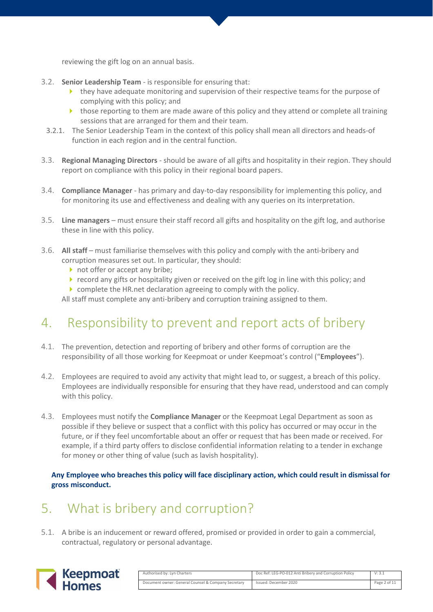reviewing the gift log on an annual basis.

- 3.2. **Senior Leadership Team** is responsible for ensuring that:
	- $\blacktriangleright$  they have adequate monitoring and supervision of their respective teams for the purpose of complying with this policy; and
	- $\triangleright$  those reporting to them are made aware of this policy and they attend or complete all training sessions that are arranged for them and their team.
- 3.2.1. The Senior Leadership Team in the context of this policy shall mean all directors and heads-of function in each region and in the central function.
- 3.3. **Regional Managing Directors** should be aware of all gifts and hospitality in their region. They should report on compliance with this policy in their regional board papers.
- 3.4. **Compliance Manager** has primary and day-to-day responsibility for implementing this policy, and for monitoring its use and effectiveness and dealing with any queries on its interpretation.
- 3.5. **Line managers** must ensure their staff record all gifts and hospitality on the gift log, and authorise these in line with this policy.
- 3.6. **All staff**  must familiarise themselves with this policy and comply with the anti-bribery and corruption measures set out. In particular, they should:
	- not offer or accept any bribe;
	- $\triangleright$  record any gifts or hospitality given or received on the gift log in line with this policy; and
	- ▶ complete the HR.net declaration agreeing to comply with the policy.

All staff must complete any anti-bribery and corruption training assigned to them.

## 4. Responsibility to prevent and report acts of bribery

- 4.1. The prevention, detection and reporting of bribery and other forms of corruption are the responsibility of all those working for Keepmoat or under Keepmoat's control ("**Employees**").
- 4.2. Employees are required to avoid any activity that might lead to, or suggest, a breach of this policy. Employees are individually responsible for ensuring that they have read, understood and can comply with this policy.
- 4.3. Employees must notify the **Compliance Manager** or the Keepmoat Legal Department as soon as possible if they believe or suspect that a conflict with this policy has occurred or may occur in the future, or if they feel uncomfortable about an offer or request that has been made or received. For example, if a third party offers to disclose confidential information relating to a tender in exchange for money or other thing of value (such as lavish hospitality).

**Any Employee who breaches this policy will face disciplinary action, which could result in dismissal for gross misconduct.** 

## 5. What is bribery and corruption?

5.1. A bribe is an inducement or reward offered, promised or provided in order to gain a commercial, contractual, regulatory or personal advantage.



| Authorised by: Lyn Charters                         | Doc Ref: LEG-PO-012 Anti Bribery and Corruption Policy | V: 3.1       |
|-----------------------------------------------------|--------------------------------------------------------|--------------|
| Document owner: General Counsel & Company Secretary | Issued: December 2020                                  | Page 2 of 11 |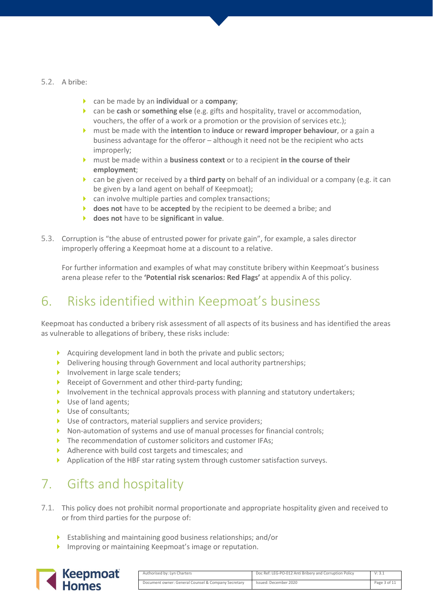#### 5.2. A bribe:

- can be made by an **individual** or a **company**;
- can be **cash** or **something else** (e.g. gifts and hospitality, travel or accommodation, vouchers, the offer of a work or a promotion or the provision of services etc.);
- must be made with the **intention** to **induce** or **reward improper behaviour**, or a gain a business advantage for the offeror – although it need not be the recipient who acts improperly;
- must be made within a **business context** or to a recipient **in the course of their employment**;
- can be given or received by a **third party** on behalf of an individual or a company (e.g. it can be given by a land agent on behalf of Keepmoat);
- $\triangleright$  can involve multiple parties and complex transactions;
- **does not** have to be **accepted** by the recipient to be deemed a bribe; and
- **does not** have to be **significant** in **value**.
- 5.3. Corruption is "the abuse of entrusted power for private gain", for example, a sales director improperly offering a Keepmoat home at a discount to a relative.

For further information and examples of what may constitute bribery within Keepmoat's business arena please refer to the **'Potential risk scenarios: Red Flags'** at appendix A of this policy.

## 6. Risks identified within Keepmoat's business

Keepmoat has conducted a bribery risk assessment of all aspects of its business and has identified the areas as vulnerable to allegations of bribery, these risks include:

- Acquiring development land in both the private and public sectors;
- Delivering housing through Government and local authority partnerships;
- Involvement in large scale tenders;
- Receipt of Government and other third-party funding;
- Involvement in the technical approvals process with planning and statutory undertakers;
- Use of land agents:
- Use of consultants;
- ▶ Use of contractors, material suppliers and service providers;
- Non-automation of systems and use of manual processes for financial controls;
- The recommendation of customer solicitors and customer IFAs:
- Adherence with build cost targets and timescales; and
- Application of the HBF star rating system through customer satisfaction surveys.

## 7. Gifts and hospitality

- 7.1. This policy does not prohibit normal proportionate and appropriate hospitality given and received to or from third parties for the purpose of:
	- Establishing and maintaining good business relationships; and/or
	- **Improving or maintaining Keepmoat's image or reputation.**



| Authorised by: Lyn Charters                         | Doc Ref: LEG-PO-012 Anti Bribery and Corruption Policy | V: 3.1       |
|-----------------------------------------------------|--------------------------------------------------------|--------------|
| Document owner: General Counsel & Company Secretary | Issued: December 2020                                  | Page 3 of 11 |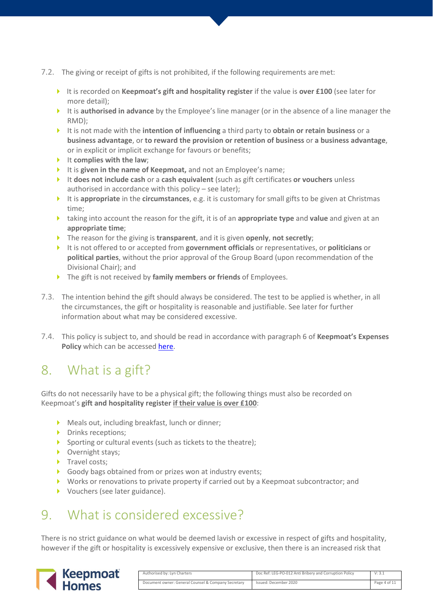- 7.2. The giving or receipt of gifts is not prohibited, if the following requirements are met:
	- It is recorded on **Keepmoat's gift and hospitality register** if the value is **over £100** (see later for more detail);
	- It is **authorised in advance** by the Employee's line manager (or in the absence of a line manager the RMD);
	- It is not made with the **intention of influencing** a third party to **obtain or retain business** or a **business advantage**, or **to reward the provision or retention of business** or **a business advantage**, or in explicit or implicit exchange for favours or benefits;
	- It complies with the law:
	- It is **given in the name of Keepmoat,** and not an Employee's name;
	- It **does not include cash** or a **cash equivalent** (such as gift certificates **or vouchers** unless authorised in accordance with this policy – see later);
	- It is **appropriate** in the **circumstances**, e.g. it is customary for small gifts to be given at Christmas time;
	- taking into account the reason for the gift, it is of an **appropriate type** and **value** and given at an **appropriate time**;
	- The reason for the giving is **transparent**, and it is given **openly**, **not secretly**;
	- It is not offered to or accepted from **government officials** or representatives, or **politicians** or **political parties**, without the prior approval of the Group Board (upon recommendation of the Divisional Chair); and
	- The gift is not received by **family members or friends** of Employees.
- 7.3. The intention behind the gift should always be considered. The test to be applied is whether, in all the circumstances, the gift or hospitality is reasonable and justifiable. See later for further information about what may be considered excessive.
- 7.4. This policy is subject to, and should be read in accordance with paragraph 6 of **Keepmoat's Expenses Policy** which can be accessed [here.](https://keepmoat.sharepoint.com/sites/FIIS/SHEQ/Policies/HR-PO-033-General%20-%20Expenses%20Policy.pdf)

## 8. What is a gift?

Gifts do not necessarily have to be a physical gift; the following things must also be recorded on Keepmoat's **gift and hospitality register if their value is over £100**:

- Meals out, including breakfast, lunch or dinner;
- Drinks receptions:
- Sporting or cultural events (such as tickets to the theatre);
- ▶ Overnight stays;
- Travel costs;
- Goody bags obtained from or prizes won at industry events;
- Works or renovations to private property if carried out by a Keepmoat subcontractor; and
- ▶ Vouchers (see later guidance).

### 9. What is considered excessive?

There is no strict guidance on what would be deemed lavish or excessive in respect of gifts and hospitality, however if the gift or hospitality is excessively expensive or exclusive, then there is an increased risk that



| Authorised by: Lyn Charters                         | Doc Ref: LEG-PO-012 Anti Bribery and Corruption Policy | V: 3.1       |
|-----------------------------------------------------|--------------------------------------------------------|--------------|
| Document owner: General Counsel & Company Secretary | Issued: December 2020                                  | Page 4 of 11 |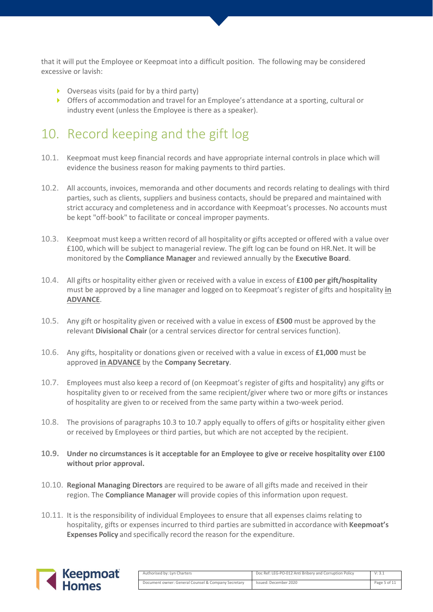that it will put the Employee or Keepmoat into a difficult position. The following may be considered excessive or lavish:

- Overseas visits (paid for by a third party)
- Offers of accommodation and travel for an Employee's attendance at a sporting, cultural or industry event (unless the Employee is there as a speaker).

## 10. Record keeping and the gift log

- 10.1. Keepmoat must keep financial records and have appropriate internal controls in place which will evidence the business reason for making payments to third parties.
- 10.2. All accounts, invoices, memoranda and other documents and records relating to dealings with third parties, such as clients, suppliers and business contacts, should be prepared and maintained with strict accuracy and completeness and in accordance with Keepmoat's processes. No accounts must be kept "off-book" to facilitate or conceal improper payments.
- 10.3. Keepmoat must keep a written record of all hospitality or gifts accepted or offered with a value over £100, which will be subject to managerial review. The gift log can be found on HR.Net. It will be monitored by the **Compliance Manager** and reviewed annually by the **Executive Board**.
- 10.4. All gifts or hospitality either given or received with a value in excess of **£100 per gift/hospitality** must be approved by a line manager and logged on to Keepmoat's register of gifts and hospitality **in ADVANCE**.
- 10.5. Any gift or hospitality given or received with a value in excess of **£500** must be approved by the relevant **Divisional Chair** (or a central services director for central services function).
- 10.6. Any gifts, hospitality or donations given or received with a value in excess of **£1,000** must be approved **in ADVANCE** by the **Company Secretary**.
- 10.7. Employees must also keep a record of (on Keepmoat's register of gifts and hospitality) any gifts or hospitality given to or received from the same recipient/giver where two or more gifts or instances of hospitality are given to or received from the same party within a two-week period.
- 10.8. The provisions of paragraphs 10.3 to 10.7 apply equally to offers of gifts or hospitality either given or received by Employees or third parties, but which are not accepted by the recipient.
- **10.9. Under no circumstances is it acceptable for an Employee to give or receive hospitality over £100 without prior approval.**
- 10.10. **Regional Managing Directors** are required to be aware of all gifts made and received in their region. The **Compliance Manager** will provide copies of this information upon request.
- 10.11. It is the responsibility of individual Employees to ensure that all expenses claims relating to hospitality, gifts or expenses incurred to third parties are submitted in accordance with **Keepmoat's Expenses Policy** and specifically record the reason for the expenditure.



| Authorised by: Lyn Charters                         | Doc Ref: LEG-PO-012 Anti Bribery and Corruption Policy | V: 3.1       |
|-----------------------------------------------------|--------------------------------------------------------|--------------|
| Document owner: General Counsel & Company Secretary | Issued: December 2020                                  | Page 5 of 11 |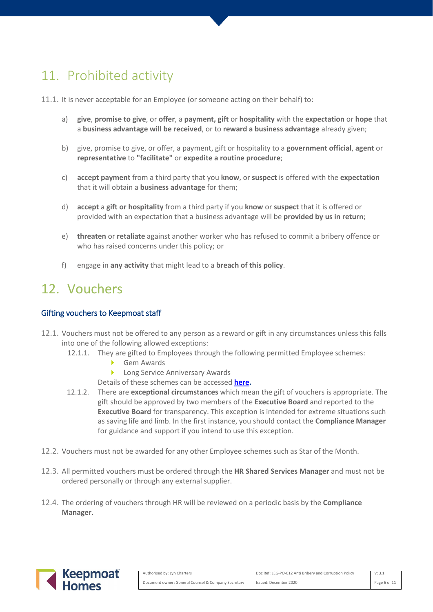## 11. Prohibited activity

- 11.1. It is never acceptable for an Employee (or someone acting on their behalf) to:
	- a) **give**, **promise to give**, or **offer**, a **payment, gift** or **hospitality** with the **expectation** or **hope** that a **business advantage will be received**, or to **reward a business advantage** already given;
	- b) give, promise to give, or offer, a payment, gift or hospitality to a **government official**, **agent** or **representative** to **"facilitate"** or **expedite a routine procedure**;
	- c) **accept payment** from a third party that you **know**, or **suspect** is offered with the **expectation** that it will obtain a **business advantage** for them;
	- d) **accept** a **gift or hospitality** from a third party if you **know** or **suspect** that it is offered or provided with an expectation that a business advantage will be **provided by us in return**;
	- e) **threaten** or **retaliate** against another worker who has refused to commit a bribery offence or who has raised concerns under this policy; or
	- f) engage in **any activity** that might lead to a **breach of this policy**.

### 12. Vouchers

#### Gifting vouchers to Keepmoat staff

- 12.1. Vouchers must not be offered to any person as a reward or gift in any circumstances unless this falls into one of the following allowed exceptions:
	- 12.1.1. They are gifted to Employees through the following permitted Employee schemes:
		- Gem Awards
		- **Long Service Anniversary Awards**
		- Details of these schemes can be accessed **[here.](https://keepmoat.sharepoint.com/sites/HRIS/SitePages/Car,.aspx)**
	- 12.1.2. There are **exceptional circumstances** which mean the gift of vouchers is appropriate. The gift should be approved by two members of the **Executive Board** and reported to the **Executive Board** for transparency. This exception is intended for extreme situations such as saving life and limb. In the first instance, you should contact the **Compliance Manager** for guidance and support if you intend to use this exception.
- 12.2. Vouchers must not be awarded for any other Employee schemes such as Star of the Month.
- 12.3. All permitted vouchers must be ordered through the **HR Shared Services Manager** and must not be ordered personally or through any external supplier.
- 12.4. The ordering of vouchers through HR will be reviewed on a periodic basis by the **Compliance Manager**.



| Authorised by: Lyn Charters                         | Doc Ref: LEG-PO-012 Anti Bribery and Corruption Policy | V: 3.1       |
|-----------------------------------------------------|--------------------------------------------------------|--------------|
| Document owner: General Counsel & Company Secretary | Issued: December 2020                                  | Page 6 of 11 |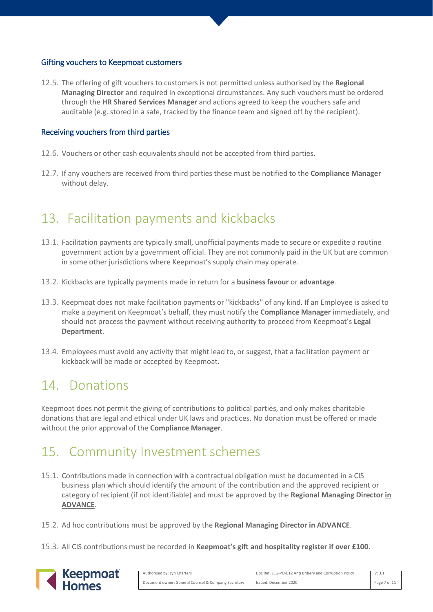#### Gifting vouchers to Keepmoat customers

12.5. The offering of gift vouchers to customers is not permitted unless authorised by the **Regional Managing Director** and required in exceptional circumstances. Any such vouchers must be ordered through the **HR Shared Services Manager** and actions agreed to keep the vouchers safe and auditable (e.g. stored in a safe, tracked by the finance team and signed off by the recipient).

#### Receiving vouchers from third parties

- 12.6. Vouchers or other cash equivalents should not be accepted from third parties.
- 12.7. If any vouchers are received from third parties these must be notified to the **Compliance Manager** without delay.

### 13. Facilitation payments and kickbacks

- 13.1. Facilitation payments are typically small, unofficial payments made to secure or expedite a routine government action by a government official. They are not commonly paid in the UK but are common in some other jurisdictions where Keepmoat's supply chain may operate.
- 13.2. Kickbacks are typically payments made in return for a **business favour** or **advantage**.
- 13.3. Keepmoat does not make facilitation payments or "kickbacks" of any kind. If an Employee is asked to make a payment on Keepmoat's behalf, they must notify the **Compliance Manager** immediately, and should not process the payment without receiving authority to proceed from Keepmoat's **Legal Department**.
- 13.4. Employees must avoid any activity that might lead to, or suggest, that a facilitation payment or kickback will be made or accepted by Keepmoat.

## 14. Donations

Keepmoat does not permit the giving of contributions to political parties, and only makes charitable donations that are legal and ethical under UK laws and practices. No donation must be offered or made without the prior approval of the **Compliance Manager**.

## 15. Community Investment schemes

- 15.1. Contributions made in connection with a contractual obligation must be documented in a CIS business plan which should identify the amount of the contribution and the approved recipient or category of recipient (if not identifiable) and must be approved by the **Regional Managing Director in ADVANCE**.
- 15.2. Ad hoc contributions must be approved by the **Regional Managing Director in ADVANCE**.
- 15.3. All CIS contributions must be recorded in **Keepmoat's gift and hospitality register if over £100**.



| Authorised by: Lyn Charters                         | Doc Ref: LEG-PO-012 Anti Bribery and Corruption Policy | V: 3.1       |
|-----------------------------------------------------|--------------------------------------------------------|--------------|
| Document owner: General Counsel & Company Secretary | Issued: December 2020                                  | Page 7 of 11 |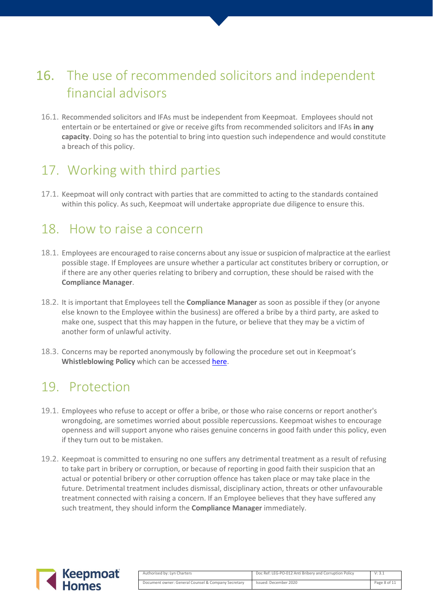## 16. The use of recommended solicitors and independent financial advisors

16.1. Recommended solicitors and IFAs must be independent from Keepmoat. Employees should not entertain or be entertained or give or receive gifts from recommended solicitors and IFAs **in any capacity**. Doing so has the potential to bring into question such independence and would constitute a breach of this policy.

## 17. Working with third parties

17.1. Keepmoat will only contract with parties that are committed to acting to the standards contained within this policy. As such, Keepmoat will undertake appropriate due diligence to ensure this.

### 18. How to raise a concern

- 18.1. Employees are encouraged to raise concerns about any issue or suspicion of malpractice at the earliest possible stage. If Employees are unsure whether a particular act constitutes bribery or corruption, or if there are any other queries relating to bribery and corruption, these should be raised with the **Compliance Manager**.
- 18.2. It is important that Employees tell the **Compliance Manager** as soon as possible if they (or anyone else known to the Employee within the business) are offered a bribe by a third party, are asked to make one, suspect that this may happen in the future, or believe that they may be a victim of another form of unlawful activity.
- 18.3. Concerns may be reported anonymously by following the procedure set out in Keepmoat's **Whistleblowing Policy** which can be accessed [here.](https://keepmoat.sharepoint.com/sites/SHEQIS/SHEQ/HSS%20Policies/HSS-PO-004-Policy%20-%20Whistleblowing%20Policy.pdf)

### 19. Protection

- 19.1. Employees who refuse to accept or offer a bribe, or those who raise concerns or report another's wrongdoing, are sometimes worried about possible repercussions. Keepmoat wishes to encourage openness and will support anyone who raises genuine concerns in good faith under this policy, even if they turn out to be mistaken.
- 19.2. Keepmoat is committed to ensuring no one suffers any detrimental treatment as a result of refusing to take part in bribery or corruption, or because of reporting in good faith their suspicion that an actual or potential bribery or other corruption offence has taken place or may take place in the future. Detrimental treatment includes dismissal, disciplinary action, threats or other unfavourable treatment connected with raising a concern. If an Employee believes that they have suffered any such treatment, they should inform the **Compliance Manager** immediately.



| Authorised by: Lyn Charters                         | Doc Ref: LEG-PO-012 Anti Bribery and Corruption Policy | V: 3.1       |
|-----------------------------------------------------|--------------------------------------------------------|--------------|
| Document owner: General Counsel & Company Secretary | Issued: December 2020                                  | Page 8 of 11 |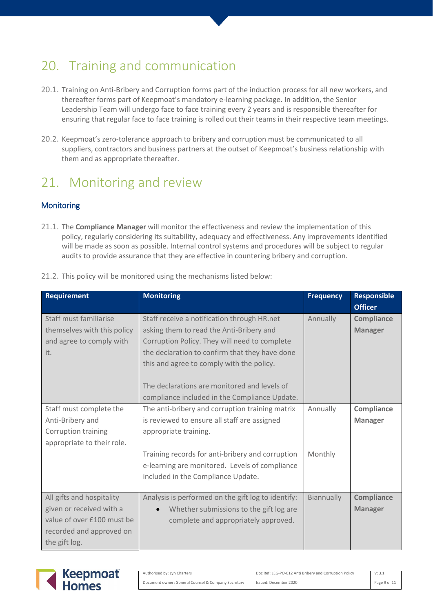## 20. Training and communication

- 20.1. Training on Anti-Bribery and Corruption forms part of the induction process for all new workers, and thereafter forms part of Keepmoat's mandatory e-learning package. In addition, the Senior Leadership Team will undergo face to face training every 2 years and is responsible thereafter for ensuring that regular face to face training is rolled out their teams in their respective team meetings.
- 20.2. Keepmoat's zero-tolerance approach to bribery and corruption must be communicated to all suppliers, contractors and business partners at the outset of Keepmoat's business relationship with them and as appropriate thereafter.

## 21. Monitoring and review

#### **Monitoring**

21.1. The **Compliance Manager** will monitor the effectiveness and review the implementation of this policy, regularly considering its suitability, adequacy and effectiveness. Any improvements identified will be made as soon as possible. Internal control systems and procedures will be subject to regular audits to provide assurance that they are effective in countering bribery and corruption.

| <b>Requirement</b>          | <b>Monitoring</b>                                    | <b>Frequency</b> | <b>Responsible</b> |
|-----------------------------|------------------------------------------------------|------------------|--------------------|
|                             |                                                      |                  | <b>Officer</b>     |
| Staff must familiarise      | Staff receive a notification through HR.net          | Annually         | Compliance         |
| themselves with this policy | asking them to read the Anti-Bribery and             |                  | <b>Manager</b>     |
| and agree to comply with    | Corruption Policy. They will need to complete        |                  |                    |
| it.                         | the declaration to confirm that they have done       |                  |                    |
|                             | this and agree to comply with the policy.            |                  |                    |
|                             |                                                      |                  |                    |
|                             | The declarations are monitored and levels of         |                  |                    |
|                             | compliance included in the Compliance Update.        |                  |                    |
| Staff must complete the     | The anti-bribery and corruption training matrix      | Annually         | Compliance         |
| Anti-Bribery and            | is reviewed to ensure all staff are assigned         |                  | <b>Manager</b>     |
| Corruption training         | appropriate training.                                |                  |                    |
| appropriate to their role.  |                                                      |                  |                    |
|                             | Training records for anti-bribery and corruption     | Monthly          |                    |
|                             | e-learning are monitored. Levels of compliance       |                  |                    |
|                             | included in the Compliance Update.                   |                  |                    |
|                             |                                                      |                  |                    |
| All gifts and hospitality   | Analysis is performed on the gift log to identify:   | Biannually       | Compliance         |
| given or received with a    | Whether submissions to the gift log are<br>$\bullet$ |                  | <b>Manager</b>     |
| value of over £100 must be  | complete and appropriately approved.                 |                  |                    |
| recorded and approved on    |                                                      |                  |                    |
| the gift log.               |                                                      |                  |                    |

21.2. This policy will be monitored using the mechanisms listed below:



| Authorised by: Lyn Charters                         | Doc Ref: LEG-PO-012 Anti Bribery and Corruption Policy | V: 3.1       |
|-----------------------------------------------------|--------------------------------------------------------|--------------|
| Document owner: General Counsel & Company Secretary | Issued: December 2020                                  | Page 9 of 11 |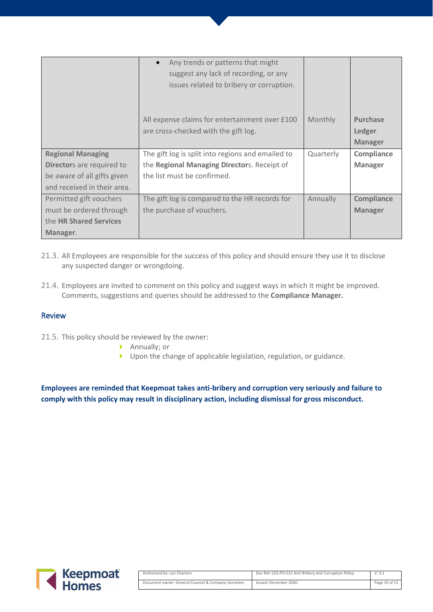|                             | Any trends or patterns that might<br>$\bullet$    |           |                   |
|-----------------------------|---------------------------------------------------|-----------|-------------------|
|                             | suggest any lack of recording, or any             |           |                   |
|                             | issues related to bribery or corruption.          |           |                   |
|                             |                                                   |           |                   |
|                             |                                                   |           |                   |
|                             | All expense claims for entertainment over £100    | Monthly   | <b>Purchase</b>   |
|                             | are cross-checked with the gift log.              |           | Ledger            |
|                             |                                                   |           | <b>Manager</b>    |
| <b>Regional Managing</b>    | The gift log is split into regions and emailed to | Quarterly | Compliance        |
| Directors are required to   | the Regional Managing Directors. Receipt of       |           | <b>Manager</b>    |
| be aware of all gifts given | the list must be confirmed.                       |           |                   |
| and received in their area. |                                                   |           |                   |
| Permitted gift vouchers     | The gift log is compared to the HR records for    | Annually  | <b>Compliance</b> |
| must be ordered through     | the purchase of vouchers.                         |           | <b>Manager</b>    |
| the HR Shared Services      |                                                   |           |                   |
| Manager.                    |                                                   |           |                   |

- 21.3. All Employees are responsible for the success of this policy and should ensure they use it to disclose any suspected danger or wrongdoing.
- 21.4. Employees are invited to comment on this policy and suggest ways in which it might be improved. Comments, suggestions and queries should be addressed to the **Compliance Manager.**

#### Review

- 21.5. This policy should be reviewed by the owner:
	- ▶ Annually; or
	- Dupon the change of applicable legislation, regulation, or guidance.

**Employees are reminded that Keepmoat takes anti-bribery and corruption very seriously and failure to comply with this policy may result in disciplinary action, including dismissal for gross misconduct.**



| Authorised by: Lyn Charters                         | Doc Ref: LEG-PO-012 Anti Bribery and Corruption Policy | V: 3.1        |
|-----------------------------------------------------|--------------------------------------------------------|---------------|
| Document owner: General Counsel & Company Secretary | Issued: December 2020                                  | Page 10 of 11 |